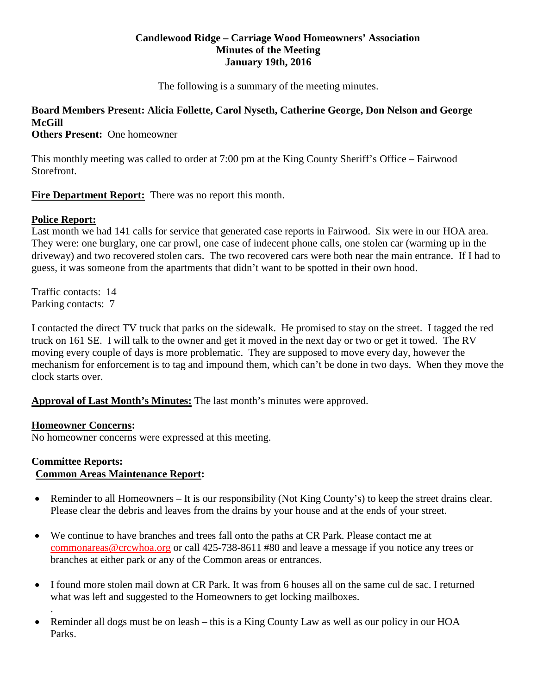#### **Candlewood Ridge – Carriage Wood Homeowners' Association Minutes of the Meeting January 19th, 2016**

The following is a summary of the meeting minutes.

# **Board Members Present: Alicia Follette, Carol Nyseth, Catherine George, Don Nelson and George McGill**

**Others Present:** One homeowner

This monthly meeting was called to order at 7:00 pm at the King County Sheriff's Office – Fairwood Storefront.

**Fire Department Report:** There was no report this month.

# **Police Report:**

Last month we had 141 calls for service that generated case reports in Fairwood. Six were in our HOA area. They were: one burglary, one car prowl, one case of indecent phone calls, one stolen car (warming up in the driveway) and two recovered stolen cars. The two recovered cars were both near the main entrance. If I had to guess, it was someone from the apartments that didn't want to be spotted in their own hood.

Traffic contacts: 14 Parking contacts: 7

I contacted the direct TV truck that parks on the sidewalk. He promised to stay on the street. I tagged the red truck on 161 SE. I will talk to the owner and get it moved in the next day or two or get it towed. The RV moving every couple of days is more problematic. They are supposed to move every day, however the mechanism for enforcement is to tag and impound them, which can't be done in two days. When they move the clock starts over.

**Approval of Last Month's Minutes:** The last month's minutes were approved.

## **Homeowner Concerns:**

.

No homeowner concerns were expressed at this meeting.

#### **Committee Reports: Common Areas Maintenance Report:**

- Reminder to all Homeowners It is our responsibility (Not King County's) to keep the street drains clear. Please clear the debris and leaves from the drains by your house and at the ends of your street.
- We continue to have branches and trees fall onto the paths at CR Park. Please contact me at [commonareas@crcwhoa.org](mailto:commonareas@crcwhoa.org) or call 425-738-8611 #80 and leave a message if you notice any trees or branches at either park or any of the Common areas or entrances.
- I found more stolen mail down at CR Park. It was from 6 houses all on the same cul de sac. I returned what was left and suggested to the Homeowners to get locking mailboxes.
- Reminder all dogs must be on leash this is a King County Law as well as our policy in our HOA Parks.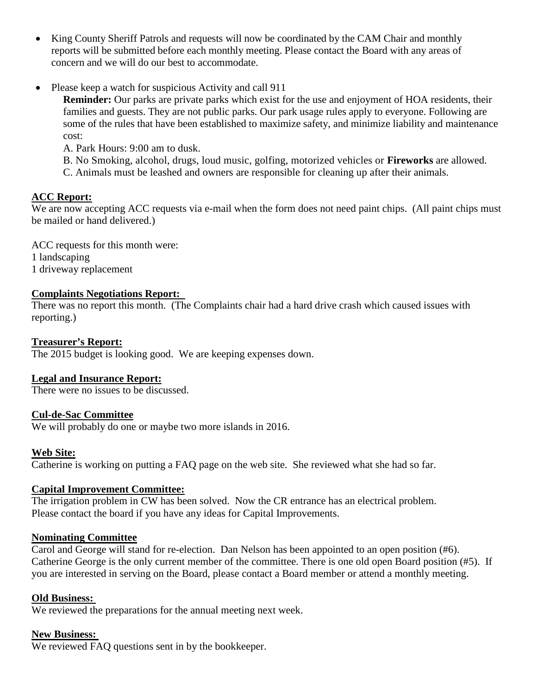- King County Sheriff Patrols and requests will now be coordinated by the CAM Chair and monthly reports will be submitted before each monthly meeting. Please contact the Board with any areas of concern and we will do our best to accommodate.
- Please keep a watch for suspicious Activity and call 911

**Reminder:** Our parks are private parks which exist for the use and enjoyment of HOA residents, their families and guests. They are not public parks. Our park usage rules apply to everyone. Following are some of the rules that have been established to maximize safety, and minimize liability and maintenance cost:

A. Park Hours: 9:00 am to dusk.

B. No Smoking, alcohol, drugs, loud music, golfing, motorized vehicles or **Fireworks** are allowed.

C. Animals must be leashed and owners are responsible for cleaning up after their animals.

# **ACC Report:**

We are now accepting ACC requests via e-mail when the form does not need paint chips. (All paint chips must be mailed or hand delivered.)

ACC requests for this month were: 1 landscaping 1 driveway replacement

## **Complaints Negotiations Report:**

There was no report this month. (The Complaints chair had a hard drive crash which caused issues with reporting.)

## **Treasurer's Report:**

The 2015 budget is looking good. We are keeping expenses down.

## **Legal and Insurance Report:**

There were no issues to be discussed.

## **Cul-de-Sac Committee**

We will probably do one or maybe two more islands in 2016.

## **Web Site:**

Catherine is working on putting a FAQ page on the web site. She reviewed what she had so far.

## **Capital Improvement Committee:**

The irrigation problem in CW has been solved. Now the CR entrance has an electrical problem. Please contact the board if you have any ideas for Capital Improvements.

## **Nominating Committee**

Carol and George will stand for re-election. Dan Nelson has been appointed to an open position (#6). Catherine George is the only current member of the committee. There is one old open Board position (#5). If you are interested in serving on the Board, please contact a Board member or attend a monthly meeting.

## **Old Business:**

We reviewed the preparations for the annual meeting next week.

## **New Business:**

We reviewed FAQ questions sent in by the bookkeeper.